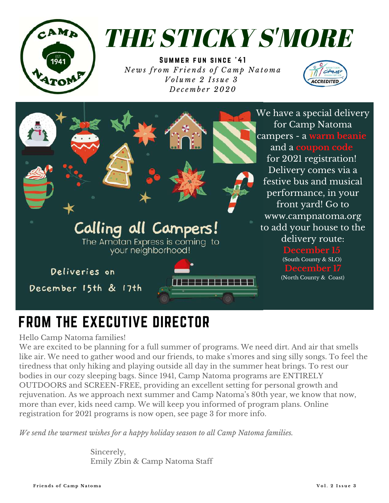

# THE STICKY S'MORE

SUMMER FUN SINCE '41 News from Friends of Camp Natoma *V o l u m e 2 I ss u e 3 D e c e m b e r 2020*





## FROM THE EXECUTIVE DIRECTOR

#### Hello Camp Natoma families!

We are excited to be planning for a full summer of programs. We need dirt. And air that smells like air. We need to gather wood and our friends, to make s ' mores and sing silly songs. To feel the tiredness that only hiking and playing outside all day in the summer heat brings. To rest our bodies in our cozy sleeping bags. Since 1941, Camp Natoma programs are ENTIRELY OUTDOORS and SCREEN-FREE, providing an excellent setting for personal growth and rejuvenation. As we approach next summer and Camp Natoma ' s 80th year, we know that now, more than ever, kids need camp. We will keep you informed of program plans. Online registration for 2021 programs is now open, see page 3 for more info.

*We send the warmest wishes for a happy holiday season to all Camp Natoma families.*

Sincerely, Emily Zbin & Camp Natoma Staff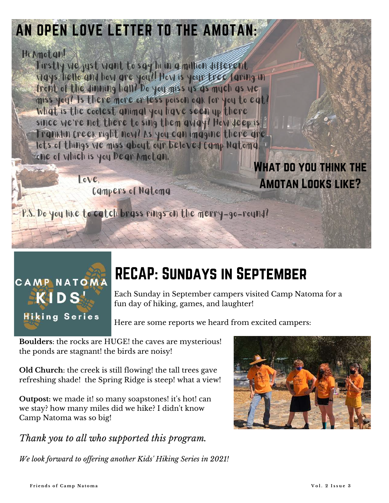### AN OPEN LOVE LETTER TO THE AMOTAN:

#### Hi Amotan!

Firstly we just want to say hi in a million different ways, hello and how are you?! How is your tree faring in front of the dinning hall? Do you miss us as much as we miss you? Is there more or less poison oak for you to eat? What is the coolest animal you have seen up there since we're not there to sing them away? How deep is Franklin Creek right now? As you can imagine there are lots of things we miss about our beloved Camp Natoma, one of which is you Dear Amotan. WHAT DO YOU THINK THE

> love. Campers of Natoma

P.S. Do you like to catch brass rings on the merry-go-round?



## RECAP: Sundays in September

Each Sunday in September campers visited Camp Natoma for a fun day of hiking, games, and laughter!

Here are some reports we heard from excited campers:

**Boulders**: the rocks are HUGE! the caves are mysterious! the ponds are stagnant! the birds are noisy!

**Old Church**: the creek is still flowing! the tall trees gave refreshing shade! the Spring Ridge is steep! what a view!

**Outpost:** we made it! so many soapstones! it's hot! can we stay? how many miles did we hike? I didn't know Camp Natoma was so big!

*Thank you to all who supported this program.*

*We look forward to of ering another Kids' Hiking Series in 2021!*



Amotan Looks like?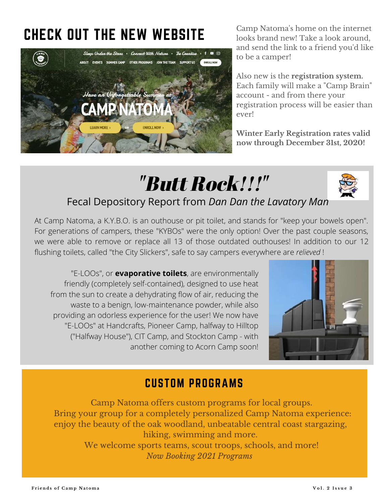### CHECK OUT THE NEW WEBSITE



Camp Natoma 's home on the internet looks brand new! Take a look around, and send the link to a friend you 'd like to be a camper!

Also new is the **registration system.** Each family will make a "Camp Brain " account - and from there your registration process will be easier than ever!

**Winter Early Registration rates valid now through December 31st, 2020!**

## "Butt Rock!!!"



#### Fecal Depository Report from *Dan Dan the Lavatory Man*

At Camp Natoma, a K.Y.B.O. is an outhouse or pit toilet, and stands for "keep your bowels open". For generations of campers, these "KYBOs" were the only option! Over the past couple seasons, we were able to remove or replace all 13 of those outdated outhouses! In addition to our 12 flushing toilets, called "the City Slickers", safe to say campers everywhere are *relieved* !

"E-LOOs", or **evaporative toilets**, are environmentally friendly (completely self-contained), designed to use heat from the sun to create a dehydrating flow of air, reducing the waste to a benign, low-maintenance powder, while also providing an odorless experience for the user! We now have "E-LOOs" at Handcrafts, Pioneer Camp, halfway to Hilltop ("Halfway House"), CIT Camp, and Stockton Camp - with another coming to Acorn Camp soon!



#### CUSTOM PROGRAMS

Camp Natoma offers custom programs for local groups. Bring your group for a completely personalized Camp Natoma experience: enjoy the beauty of the oak woodland, unbeatable central coast stargazing, hiking, swimming and more.

> We welcome sports teams, scout troops, schools, and more! *Now Booking 2021 Programs*